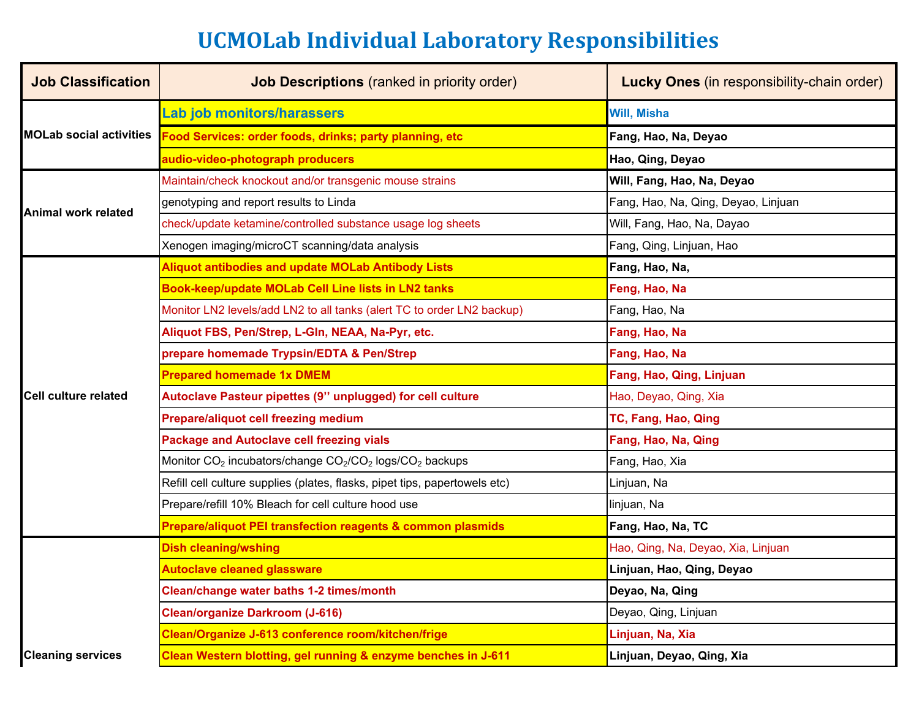| <b>Job Classification</b>      | <b>Job Descriptions</b> (ranked in priority order)                                                      | <b>Lucky Ones (in responsibility-chain order)</b> |
|--------------------------------|---------------------------------------------------------------------------------------------------------|---------------------------------------------------|
| <b>MOLab social activities</b> | Lab job monitors/harassers                                                                              | Will, Misha                                       |
|                                | -ood Services: order foods, drinks; party planning, etc                                                 | Fang, Hao, Na, Deyao                              |
|                                | audio-video-photograph producers                                                                        | Hao, Qing, Deyao                                  |
| <b>Animal work related</b>     | Maintain/check knockout and/or transgenic mouse strains                                                 | Will, Fang, Hao, Na, Deyao                        |
|                                | genotyping and report results to Linda                                                                  | Fang, Hao, Na, Qing, Deyao, Linjuan               |
|                                | check/update ketamine/controlled substance usage log sheets                                             | Will, Fang, Hao, Na, Dayao                        |
|                                | Xenogen imaging/microCT scanning/data analysis                                                          | Fang, Qing, Linjuan, Hao                          |
| <b>Cell culture related</b>    | <b>Aliquot antibodies and update MOLab Antibody Lists</b>                                               | Fang, Hao, Na,                                    |
|                                | Book-keep/update MOLab Cell Line lists in LN2 tanks                                                     | Feng, Hao, Na                                     |
|                                | Monitor LN2 levels/add LN2 to all tanks (alert TC to order LN2 backup)                                  | Fang, Hao, Na                                     |
|                                | Aliquot FBS, Pen/Strep, L-GIn, NEAA, Na-Pyr, etc.                                                       | Fang, Hao, Na                                     |
|                                | prepare homemade Trypsin/EDTA & Pen/Strep                                                               | Fang, Hao, Na                                     |
|                                | <b>Prepared homemade 1x DMEM</b>                                                                        | Fang, Hao, Qing, Linjuan                          |
|                                | Autoclave Pasteur pipettes (9" unplugged) for cell culture                                              | Hao, Deyao, Qing, Xia                             |
|                                | Prepare/aliquot cell freezing medium                                                                    | TC, Fang, Hao, Qing                               |
|                                | <b>Package and Autoclave cell freezing vials</b>                                                        | Fang, Hao, Na, Qing                               |
|                                | Monitor CO <sub>2</sub> incubators/change CO <sub>2</sub> /CO <sub>2</sub> logs/CO <sub>2</sub> backups | Fang, Hao, Xia                                    |
|                                | Refill cell culture supplies (plates, flasks, pipet tips, papertowels etc)                              | Linjuan, Na                                       |
|                                | Prepare/refill 10% Bleach for cell culture hood use                                                     | linjuan, Na                                       |
|                                | Prepare/aliquot PEI transfection reagents & common plasmids                                             | Fang, Hao, Na, TC                                 |
|                                | <b>Dish cleaning/wshing</b>                                                                             | Hao, Qing, Na, Deyao, Xia, Linjuan                |
|                                | <b>Autoclave cleaned glassware</b>                                                                      | Linjuan, Hao, Qing, Deyao                         |
|                                | Clean/change water baths 1-2 times/month                                                                | Deyao, Na, Qing                                   |
|                                | <b>Clean/organize Darkroom (J-616)</b>                                                                  | Deyao, Qing, Linjuan                              |
|                                | Clean/Organize J-613 conference room/kitchen/frige                                                      | Linjuan, Na, Xia                                  |
| <b>Cleaning services</b>       | Clean Western blotting, gel running & enzyme benches in J-611                                           | Linjuan, Deyao, Qing, Xia                         |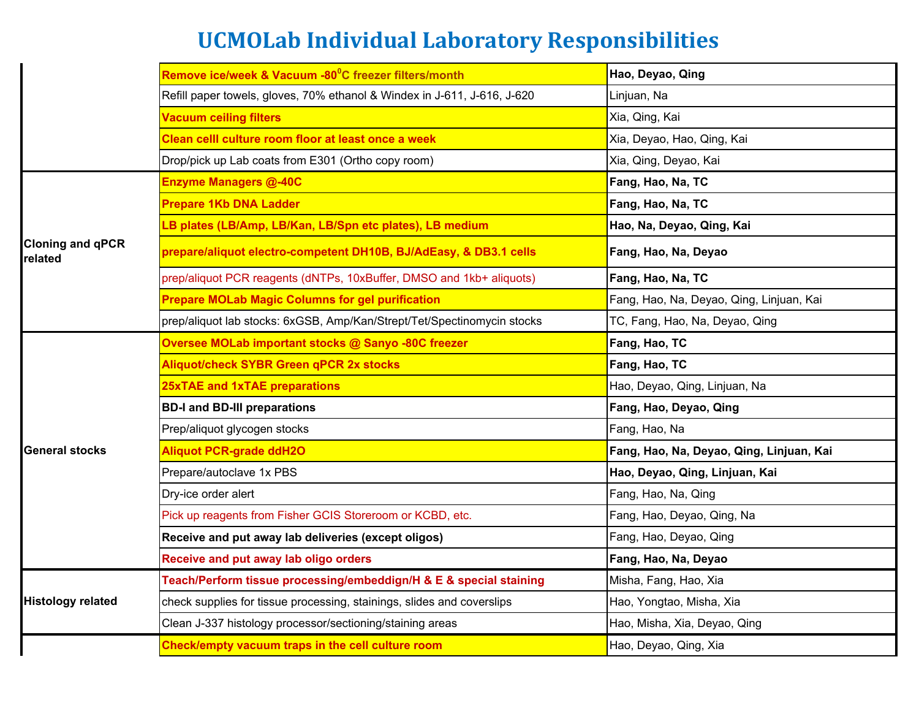|                                    | Remove ice/week & Vacuum -80 <sup>0</sup> C freezer filters/month        | Hao, Deyao, Qing                         |
|------------------------------------|--------------------------------------------------------------------------|------------------------------------------|
|                                    | Refill paper towels, gloves, 70% ethanol & Windex in J-611, J-616, J-620 | Linjuan, Na                              |
|                                    | <b>Vacuum ceiling filters</b>                                            | Xia, Qing, Kai                           |
|                                    | Clean celli culture room floor at least once a week                      | Xia, Deyao, Hao, Qing, Kai               |
|                                    | Drop/pick up Lab coats from E301 (Ortho copy room)                       | Xia, Qing, Deyao, Kai                    |
| <b>Cloning and qPCR</b><br>related | <b>Enzyme Managers @-40C</b>                                             | Fang, Hao, Na, TC                        |
|                                    | <b>Prepare 1Kb DNA Ladder</b>                                            | Fang, Hao, Na, TC                        |
|                                    | LB plates (LB/Amp, LB/Kan, LB/Spn etc plates), LB medium                 | Hao, Na, Deyao, Qing, Kai                |
|                                    | prepare/aliquot electro-competent DH10B, BJ/AdEasy, & DB3.1 cells        | Fang, Hao, Na, Deyao                     |
|                                    | prep/aliquot PCR reagents (dNTPs, 10xBuffer, DMSO and 1kb+ aliquots)     | Fang, Hao, Na, TC                        |
|                                    | <b>Prepare MOLab Magic Columns for gel purification</b>                  | Fang, Hao, Na, Deyao, Qing, Linjuan, Kai |
|                                    | prep/aliquot lab stocks: 6xGSB, Amp/Kan/Strept/Tet/Spectinomycin stocks  | TC, Fang, Hao, Na, Deyao, Qing           |
| <b>General stocks</b>              | Oversee MOLab important stocks @ Sanyo -80C freezer                      | Fang, Hao, TC                            |
|                                    | Aliquot/check SYBR Green qPCR 2x stocks                                  | Fang, Hao, TC                            |
|                                    | 25xTAE and 1xTAE preparations                                            | Hao, Deyao, Qing, Linjuan, Na            |
|                                    | <b>BD-I and BD-III preparations</b>                                      | Fang, Hao, Deyao, Qing                   |
|                                    | Prep/aliquot glycogen stocks                                             | Fang, Hao, Na                            |
|                                    | <b>Aliquot PCR-grade ddH2O</b>                                           | Fang, Hao, Na, Deyao, Qing, Linjuan, Kai |
|                                    | Prepare/autoclave 1x PBS                                                 | Hao, Deyao, Qing, Linjuan, Kai           |
|                                    | Dry-ice order alert                                                      | Fang, Hao, Na, Qing                      |
|                                    | Pick up reagents from Fisher GCIS Storeroom or KCBD, etc.                | Fang, Hao, Deyao, Qing, Na               |
|                                    | Receive and put away lab deliveries (except oligos)                      | Fang, Hao, Deyao, Qing                   |
|                                    | Receive and put away lab oligo orders                                    | Fang, Hao, Na, Deyao                     |
| <b>Histology related</b>           | Teach/Perform tissue processing/embeddign/H & E & special staining       | Misha, Fang, Hao, Xia                    |
|                                    | check supplies for tissue processing, stainings, slides and coverslips   | Hao, Yongtao, Misha, Xia                 |
|                                    | Clean J-337 histology processor/sectioning/staining areas                | Hao, Misha, Xia, Deyao, Qing             |
|                                    | Check/empty vacuum traps in the cell culture room                        | Hao, Deyao, Qing, Xia                    |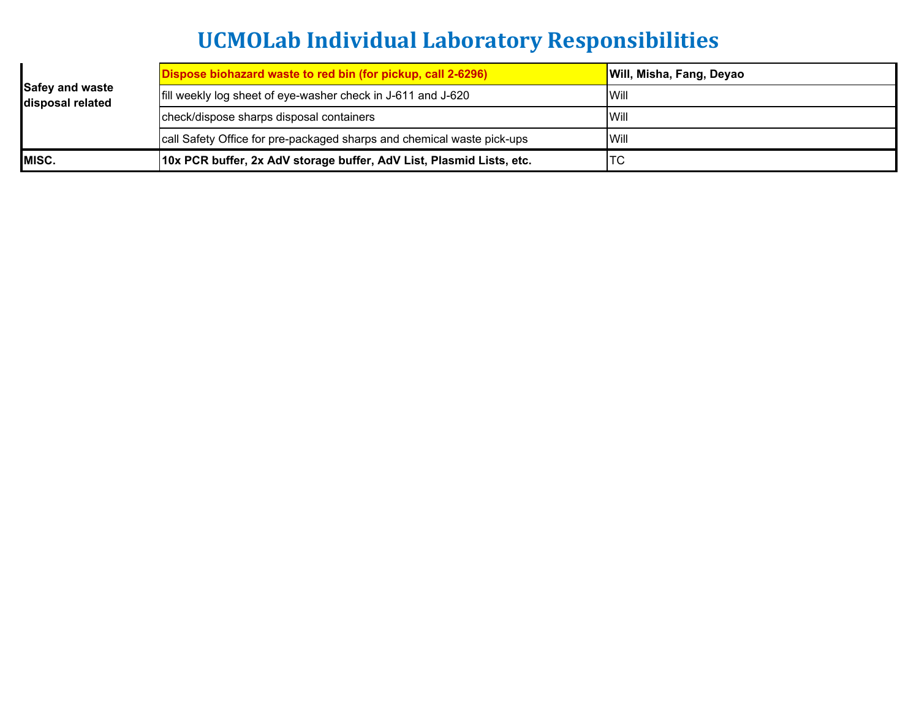| <b>Safey and waste</b><br>disposal related | Dispose biohazard waste to red bin (for pickup, call 2-6296)           | Will, Misha, Fang, Deyao |
|--------------------------------------------|------------------------------------------------------------------------|--------------------------|
|                                            | fill weekly log sheet of eye-washer check in J-611 and J-620           | <b>Will</b>              |
|                                            | check/dispose sharps disposal containers                               | <b>Will</b>              |
|                                            | call Safety Office for pre-packaged sharps and chemical waste pick-ups | lWill                    |
| MISC.                                      | 10x PCR buffer, 2x AdV storage buffer, AdV List, Plasmid Lists, etc.   | ITC                      |